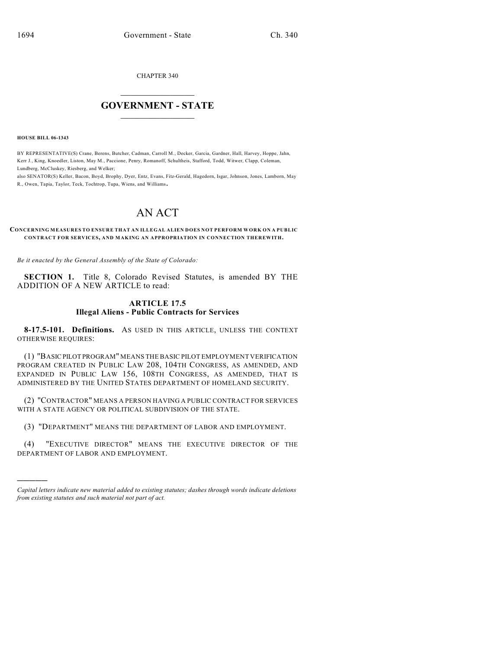CHAPTER 340

## $\mathcal{L}_\text{max}$  . The set of the set of the set of the set of the set of the set of the set of the set of the set of the set of the set of the set of the set of the set of the set of the set of the set of the set of the set **GOVERNMENT - STATE**  $\_$   $\_$   $\_$   $\_$   $\_$   $\_$   $\_$   $\_$   $\_$

**HOUSE BILL 06-1343**

)))))

BY REPRESENTATIVE(S) Crane, Berens, Butcher, Cadman, Carroll M., Decker, Garcia, Gardner, Hall, Harvey, Hoppe, Jahn, Kerr J., King, Knoedler, Liston, May M., Paccione, Penry, Romanoff, Schultheis, Stafford, Todd, Witwer, Clapp, Coleman, Lundberg, McCluskey, Riesberg, and Welker;

also SENATOR(S) Keller, Bacon, Boyd, Brophy, Dyer, Entz, Evans, Fitz-Gerald, Hagedorn, Isgar, Johnson, Jones, Lamborn, May R., Owen, Tapia, Taylor, Teck, Tochtrop, Tupa, Wiens, and Williams.

## AN ACT

**CONCERNING MEASURES TO ENSURE THAT AN ILLEGAL ALIEN DOES NOT PERFORM WORK ON A PUBLIC CONTRACT FOR SERVICES, AND MAKING AN APPROPRIATION IN CONNECTION THEREWITH.**

*Be it enacted by the General Assembly of the State of Colorado:*

**SECTION 1.** Title 8, Colorado Revised Statutes, is amended BY THE ADDITION OF A NEW ARTICLE to read:

## **ARTICLE 17.5 Illegal Aliens - Public Contracts for Services**

**8-17.5-101. Definitions.** AS USED IN THIS ARTICLE, UNLESS THE CONTEXT OTHERWISE REQUIRES:

(1) "BASIC PILOT PROGRAM" MEANS THE BASIC PILOT EMPLOYMENT VERIFICATION PROGRAM CREATED IN PUBLIC LAW 208, 104TH CONGRESS, AS AMENDED, AND EXPANDED IN PUBLIC LAW 156, 108TH CONGRESS, AS AMENDED, THAT IS ADMINISTERED BY THE UNITED STATES DEPARTMENT OF HOMELAND SECURITY.

(2) "CONTRACTOR" MEANS A PERSON HAVING A PUBLIC CONTRACT FOR SERVICES WITH A STATE AGENCY OR POLITICAL SUBDIVISION OF THE STATE.

(3) "DEPARTMENT" MEANS THE DEPARTMENT OF LABOR AND EMPLOYMENT.

(4) "EXECUTIVE DIRECTOR" MEANS THE EXECUTIVE DIRECTOR OF THE DEPARTMENT OF LABOR AND EMPLOYMENT.

*Capital letters indicate new material added to existing statutes; dashes through words indicate deletions from existing statutes and such material not part of act.*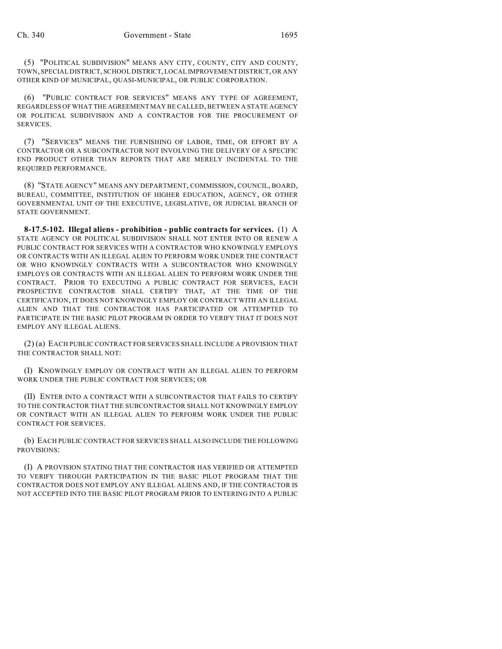(5) "POLITICAL SUBDIVISION" MEANS ANY CITY, COUNTY, CITY AND COUNTY, TOWN, SPECIAL DISTRICT, SCHOOL DISTRICT, LOCAL IMPROVEMENT DISTRICT, OR ANY OTHER KIND OF MUNICIPAL, QUASI-MUNICIPAL, OR PUBLIC CORPORATION.

(6) "PUBLIC CONTRACT FOR SERVICES" MEANS ANY TYPE OF AGREEMENT, REGARDLESS OF WHAT THE AGREEMENT MAY BE CALLED, BETWEEN A STATE AGENCY OR POLITICAL SUBDIVISION AND A CONTRACTOR FOR THE PROCUREMENT OF SERVICES.

(7) "SERVICES" MEANS THE FURNISHING OF LABOR, TIME, OR EFFORT BY A CONTRACTOR OR A SUBCONTRACTOR NOT INVOLVING THE DELIVERY OF A SPECIFIC END PRODUCT OTHER THAN REPORTS THAT ARE MERELY INCIDENTAL TO THE REQUIRED PERFORMANCE.

(8) "STATE AGENCY" MEANS ANY DEPARTMENT, COMMISSION, COUNCIL, BOARD, BUREAU, COMMITTEE, INSTITUTION OF HIGHER EDUCATION, AGENCY, OR OTHER GOVERNMENTAL UNIT OF THE EXECUTIVE, LEGISLATIVE, OR JUDICIAL BRANCH OF STATE GOVERNMENT.

**8-17.5-102. Illegal aliens - prohibition - public contracts for services.** (1) A STATE AGENCY OR POLITICAL SUBDIVISION SHALL NOT ENTER INTO OR RENEW A PUBLIC CONTRACT FOR SERVICES WITH A CONTRACTOR WHO KNOWINGLY EMPLOYS OR CONTRACTS WITH AN ILLEGAL ALIEN TO PERFORM WORK UNDER THE CONTRACT OR WHO KNOWINGLY CONTRACTS WITH A SUBCONTRACTOR WHO KNOWINGLY EMPLOYS OR CONTRACTS WITH AN ILLEGAL ALIEN TO PERFORM WORK UNDER THE CONTRACT. PRIOR TO EXECUTING A PUBLIC CONTRACT FOR SERVICES, EACH PROSPECTIVE CONTRACTOR SHALL CERTIFY THAT, AT THE TIME OF THE CERTIFICATION, IT DOES NOT KNOWINGLY EMPLOY OR CONTRACT WITH AN ILLEGAL ALIEN AND THAT THE CONTRACTOR HAS PARTICIPATED OR ATTEMPTED TO PARTICIPATE IN THE BASIC PILOT PROGRAM IN ORDER TO VERIFY THAT IT DOES NOT EMPLOY ANY ILLEGAL ALIENS.

(2) (a) EACH PUBLIC CONTRACT FOR SERVICES SHALL INCLUDE A PROVISION THAT THE CONTRACTOR SHALL NOT:

(I) KNOWINGLY EMPLOY OR CONTRACT WITH AN ILLEGAL ALIEN TO PERFORM WORK UNDER THE PUBLIC CONTRACT FOR SERVICES; OR

(II) ENTER INTO A CONTRACT WITH A SUBCONTRACTOR THAT FAILS TO CERTIFY TO THE CONTRACTOR THAT THE SUBCONTRACTOR SHALL NOT KNOWINGLY EMPLOY OR CONTRACT WITH AN ILLEGAL ALIEN TO PERFORM WORK UNDER THE PUBLIC CONTRACT FOR SERVICES.

(b) EACH PUBLIC CONTRACT FOR SERVICES SHALL ALSO INCLUDE THE FOLLOWING PROVISIONS:

(I) A PROVISION STATING THAT THE CONTRACTOR HAS VERIFIED OR ATTEMPTED TO VERIFY THROUGH PARTICIPATION IN THE BASIC PILOT PROGRAM THAT THE CONTRACTOR DOES NOT EMPLOY ANY ILLEGAL ALIENS AND, IF THE CONTRACTOR IS NOT ACCEPTED INTO THE BASIC PILOT PROGRAM PRIOR TO ENTERING INTO A PUBLIC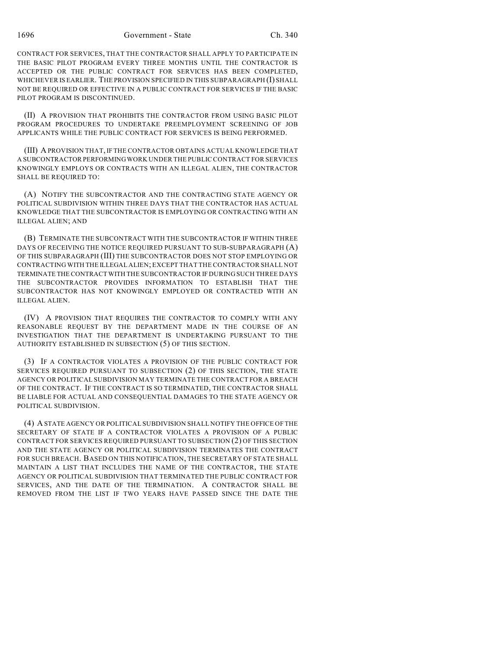1696 Government - State Ch. 340

CONTRACT FOR SERVICES, THAT THE CONTRACTOR SHALL APPLY TO PARTICIPATE IN THE BASIC PILOT PROGRAM EVERY THREE MONTHS UNTIL THE CONTRACTOR IS ACCEPTED OR THE PUBLIC CONTRACT FOR SERVICES HAS BEEN COMPLETED, WHICHEVER IS EARLIER. THE PROVISION SPECIFIED IN THIS SUBPARAGRAPH (I) SHALL NOT BE REQUIRED OR EFFECTIVE IN A PUBLIC CONTRACT FOR SERVICES IF THE BASIC PILOT PROGRAM IS DISCONTINUED.

(II) A PROVISION THAT PROHIBITS THE CONTRACTOR FROM USING BASIC PILOT PROGRAM PROCEDURES TO UNDERTAKE PREEMPLOYMENT SCREENING OF JOB APPLICANTS WHILE THE PUBLIC CONTRACT FOR SERVICES IS BEING PERFORMED.

(III) A PROVISION THAT, IF THE CONTRACTOR OBTAINS ACTUAL KNOWLEDGE THAT A SUBCONTRACTOR PERFORMING WORK UNDER THE PUBLIC CONTRACT FOR SERVICES KNOWINGLY EMPLOYS OR CONTRACTS WITH AN ILLEGAL ALIEN, THE CONTRACTOR SHALL BE REQUIRED TO:

(A) NOTIFY THE SUBCONTRACTOR AND THE CONTRACTING STATE AGENCY OR POLITICAL SUBDIVISION WITHIN THREE DAYS THAT THE CONTRACTOR HAS ACTUAL KNOWLEDGE THAT THE SUBCONTRACTOR IS EMPLOYING OR CONTRACTING WITH AN ILLEGAL ALIEN; AND

(B) TERMINATE THE SUBCONTRACT WITH THE SUBCONTRACTOR IF WITHIN THREE DAYS OF RECEIVING THE NOTICE REQUIRED PURSUANT TO SUB-SUBPARAGRAPH (A) OF THIS SUBPARAGRAPH (III) THE SUBCONTRACTOR DOES NOT STOP EMPLOYING OR CONTRACTING WITH THE ILLEGAL ALIEN; EXCEPT THAT THE CONTRACTOR SHALL NOT TERMINATE THE CONTRACT WITH THE SUBCONTRACTOR IF DURING SUCH THREE DAYS THE SUBCONTRACTOR PROVIDES INFORMATION TO ESTABLISH THAT THE SUBCONTRACTOR HAS NOT KNOWINGLY EMPLOYED OR CONTRACTED WITH AN ILLEGAL ALIEN.

(IV) A PROVISION THAT REQUIRES THE CONTRACTOR TO COMPLY WITH ANY REASONABLE REQUEST BY THE DEPARTMENT MADE IN THE COURSE OF AN INVESTIGATION THAT THE DEPARTMENT IS UNDERTAKING PURSUANT TO THE AUTHORITY ESTABLISHED IN SUBSECTION (5) OF THIS SECTION.

(3) IF A CONTRACTOR VIOLATES A PROVISION OF THE PUBLIC CONTRACT FOR SERVICES REQUIRED PURSUANT TO SUBSECTION (2) OF THIS SECTION, THE STATE AGENCY OR POLITICAL SUBDIVISION MAY TERMINATE THE CONTRACT FOR A BREACH OF THE CONTRACT. IF THE CONTRACT IS SO TERMINATED, THE CONTRACTOR SHALL BE LIABLE FOR ACTUAL AND CONSEQUENTIAL DAMAGES TO THE STATE AGENCY OR POLITICAL SUBDIVISION.

(4) A STATE AGENCY OR POLITICAL SUBDIVISION SHALL NOTIFY THE OFFICE OF THE SECRETARY OF STATE IF A CONTRACTOR VIOLATES A PROVISION OF A PUBLIC CONTRACT FOR SERVICES REQUIRED PURSUANT TO SUBSECTION (2) OF THIS SECTION AND THE STATE AGENCY OR POLITICAL SUBDIVISION TERMINATES THE CONTRACT FOR SUCH BREACH. BASED ON THIS NOTIFICATION, THE SECRETARY OF STATE SHALL MAINTAIN A LIST THAT INCLUDES THE NAME OF THE CONTRACTOR, THE STATE AGENCY OR POLITICAL SUBDIVISION THAT TERMINATED THE PUBLIC CONTRACT FOR SERVICES, AND THE DATE OF THE TERMINATION. A CONTRACTOR SHALL BE REMOVED FROM THE LIST IF TWO YEARS HAVE PASSED SINCE THE DATE THE